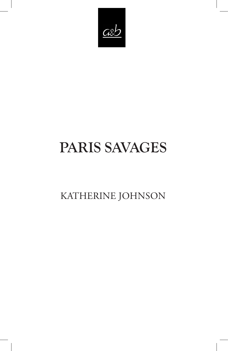

# PARIS SAVAGES

KATHERINE JOHNSON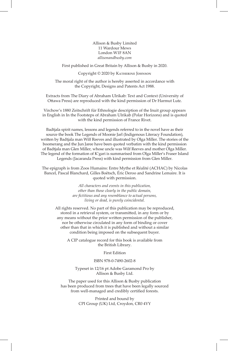Allison & Busby Limited 11 Wardour Mews London W1F 8AN *allisonandbusby.com*

First published in Great Britain by Allison & Busby in 2020.

Copyright © 2020 by Katherine Johnson

The moral right of the author is hereby asserted in accordance with the Copyright, Designs and Patents Act 1988.

Extracts from The Diary of Abraham Ulrikab: Text and Context (University of Ottawa Press) are reproduced with the kind permission of Dr Harmut Lutz.

Virchow's 1880 Zeitschrift für Ethnologie description of the Inuit group appears in English in In the Footsteps of Abraham Ulrikab (Polar Horizons) and is quoted with the kind permission of France Rivet.

Badtjala spirit names, lessons and legends referred to in the novel have as their source the book The Legends of Moonie Jarl (Indigenous Literacy Foundation), written by Badtjala man Wilf Reeves and illustrated by Olga Miller. The stories of the boomerang and the Jun Jaree have been quoted verbatim with the kind permission of Badtjala man Glen Miller, whose uncle was Wilf Reeves and mother Olga Miller. The legend of the formation of K'gari is summarised from Olga Miller's Fraser Island Legends (Jacaranda Press) with kind permission from Glen Miller.

The epigraph is from Zoos Humains: Entre Mythe et Réalité (ACHAC) by Nicolas Bancel, Pascal Blanchard, Gilles Boëtsch, Éric Deroo and Sandrine Lemaire. It is quoted with permission.

> *All characters and events in this publication, other than those clearly in the public domain, are fictitious and any resemblance to actual persons, living or dead, is purely coincidental.*

All rights reserved. No part of this publication may be reproduced, stored in a retrieval system, or transmitted, in any form or by any means without the prior written permission of the publisher, nor be otherwise circulated in any form of binding or cover other than that in which it is published and without a similar condition being imposed on the subsequent buyer.

A CIP catalogue record for this book is available from the British Library.

First Edition

#### ISBN 978-0-7490-2602-8

Typeset in 12/16 pt Adobe Garamond Pro by Allison & Busby Ltd.

The paper used for this Allison & Busby publication has been produced from trees that have been legally sourced from well-managed and credibly certified forests.

> Printed and bound by CPI Group (UK) Ltd, Croydon, CR0 4YY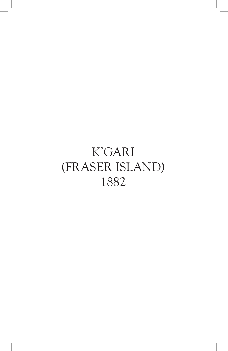## K'GARI (FRASER ISLAND) 1882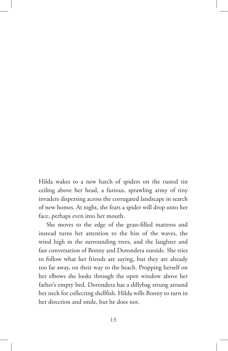Hilda wakes to a new hatch of spiders on the rusted tin ceiling above her head, a furious, sprawling army of tiny invaders dispersing across the corrugated landscape in search of new homes. At night, she fears a spider will drop onto her face, perhaps even into her mouth.

She moves to the edge of the grass-filled mattress and instead turns her attention to the hiss of the waves, the wind high in the surrounding trees, and the laughter and fast conversation of Bonny and Dorondera outside. She tries to follow what her friends are saying, but they are already too far away, on their way to the beach. Propping herself on her elbows she looks through the open window above her father's empty bed. Dorondera has a dillybag strung around her neck for collecting shellfish. Hilda wills Bonny to turn in her direction and smile, but he does not.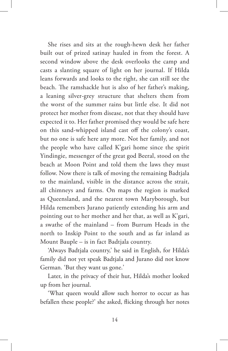She rises and sits at the rough-hewn desk her father built out of prized satinay hauled in from the forest. A second window above the desk overlooks the camp and casts a slanting square of light on her journal. If Hilda leans forwards and looks to the right, she can still see the beach. The ramshackle hut is also of her father's making, a leaning silver-grey structure that shelters them from the worst of the summer rains but little else. It did not protect her mother from disease, not that they should have expected it to. Her father promised they would be safe here on this sand-whipped island cast off the colony's coast, but no one is safe here any more. Not her family, and not the people who have called K'gari home since the spirit Yindingie, messenger of the great god Beeral, stood on the beach at Moon Point and told them the laws they must follow. Now there is talk of moving the remaining Badtjala to the mainland, visible in the distance across the strait, all chimneys and farms. On maps the region is marked as Queensland, and the nearest town Maryborough, but Hilda remembers Jurano patiently extending his arm and pointing out to her mother and her that, as well as K'gari, a swathe of the mainland – from Burrum Heads in the north to Inskip Point to the south and as far inland as Mount Bauple – is in fact Badtjala country.

'Always Badtjala country,' he said in English, for Hilda's family did not yet speak Badtjala and Jurano did not know German. 'But they want us gone.'

Later, in the privacy of their hut, Hilda's mother looked up from her journal.

'What queen would allow such horror to occur as has befallen these people?' she asked, flicking through her notes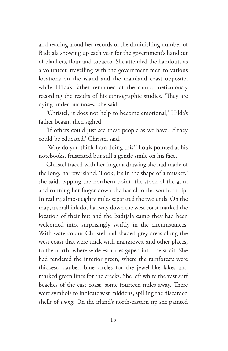and reading aloud her records of the diminishing number of Badtjala showing up each year for the government's handout of blankets, flour and tobacco. She attended the handouts as a volunteer, travelling with the government men to various locations on the island and the mainland coast opposite, while Hilda's father remained at the camp, meticulously recording the results of his ethnographic studies. 'They are dying under our noses,' she said.

'Christel, it does not help to become emotional,' Hilda's father began, then sighed.

'If others could just see these people as we have. If they could be educated,' Christel said.

'Why do you think I am doing this?' Louis pointed at his notebooks, frustrated but still a gentle smile on his face.

Christel traced with her finger a drawing she had made of the long, narrow island. 'Look, it's in the shape of a musket,' she said, tapping the northern point, the stock of the gun, and running her finger down the barrel to the southern tip. In reality, almost eighty miles separated the two ends. On the map, a small ink dot halfway down the west coast marked the location of their hut and the Badtjala camp they had been welcomed into, surprisingly swiftly in the circumstances. With watercolour Christel had shaded grey areas along the west coast that were thick with mangroves, and other places, to the north, where wide estuaries gaped into the strait. She had rendered the interior green, where the rainforests were thickest, daubed blue circles for the jewel-like lakes and marked green lines for the creeks. She left white the vast surf beaches of the east coast, some fourteen miles away. There were symbols to indicate vast middens, spilling the discarded shells of *wong*. On the island's north-eastern tip she painted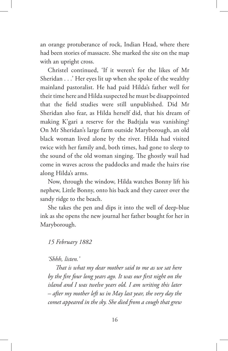an orange protuberance of rock, Indian Head, where there had been stories of massacre. She marked the site on the map with an upright cross.

Christel continued, 'If it weren't for the likes of Mr Sheridan . . .' Her eyes lit up when she spoke of the wealthy mainland pastoralist. He had paid Hilda's father well for their time here and Hilda suspected he must be disappointed that the field studies were still unpublished. Did Mr Sheridan also fear, as Hilda herself did, that his dream of making K'gari a reserve for the Badtjala was vanishing? On Mr Sheridan's large farm outside Maryborough, an old black woman lived alone by the river. Hilda had visited twice with her family and, both times, had gone to sleep to the sound of the old woman singing. The ghostly wail had come in waves across the paddocks and made the hairs rise along Hilda's arms.

Now, through the window, Hilda watches Bonny lift his nephew, Little Bonny, onto his back and they career over the sandy ridge to the beach.

She takes the pen and dips it into the well of deep-blue ink as she opens the new journal her father bought for her in Maryborough.

### *15 February 1882*

#### *'Shhh, listen.'*

*That is what my dear mother said to me as we sat here by the fire four long years ago. It was our first night on the island and I was twelve years old. I am writing this later – after my mother left us in May last year, the very day the comet appeared in the sky. She died from a cough that grew*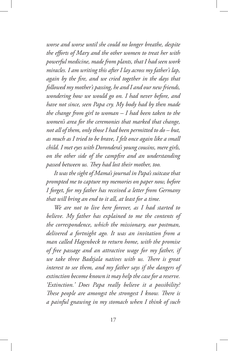*worse and worse until she could no longer breathe, despite the efforts of Mary and the other women to treat her with powerful medicine, made from plants, that I had seen work miracles. I am writing this after I lay across my father's lap, again by the fire, and we cried together in the days that followed my mother's passing, he and I and our new friends, wondering how we would go on. I had never before, and have not since, seen Papa cry. My body had by then made the change from girl to woman – I had been taken to the women's area for the ceremonies that marked that change, not all of them, only those I had been permitted to do – but, as much as I tried to be brave, I felt once again like a small child. I met eyes with Dorondera's young cousins, mere girls, on the other side of the campfire and an understanding passed between us. They had lost their mother, too.*

*It was the sight of Mama's journal in Papa's suitcase that prompted me to capture my memories on paper now, before I forget, for my father has received a letter from Germany that will bring an end to it all, at least for a time.*

*We are not to live here forever, as I had started to believe. My father has explained to me the contents of the correspondence, which the missionary, our postman, delivered a fortnight ago. It was an invitation from a man called Hagenbeck to return home, with the promise of free passage and an attractive wage for my father, if we take three Badtjala natives with us. There is great interest to see them, and my father says if the dangers of extinction become known it may help the case for a reserve. 'Extinction.' Does Papa really believe it a possibility? These people are amongst the strongest I know. There is a painful gnawing in my stomach when I think of such*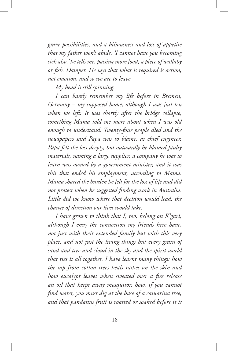*grave possibilities, and a biliousness and loss of appetite that my father won't abide. 'I cannot have you becoming sick also,' he tells me, passing more food, a piece of wallaby or fish. Damper. He says that what is required is action, not emotion, and so we are to leave.*

*My head is still spinning.*

*I can barely remember my life before in Bremen, Germany – my supposed home, although I was just ten when we left. It was shortly after the bridge collapse, something Mama told me more about when I was old enough to understand. Twenty-four people died and the newspapers said Papa was to blame, as chief engineer. Papa felt the loss deeply, but outwardly he blamed faulty materials, naming a large supplier, a company he was to learn was owned by a government minister, and it was this that ended his employment, according to Mama. Mama shared the burden he felt for the loss of life and did not protest when he suggested finding work in Australia. Little did we know where that decision would lead, the change of direction our lives would take.*

*I have grown to think that I, too, belong on K'gari, although I envy the connection my friends here have, not just with their extended family but with this very place, and not just the living things but every grain of sand and tree and cloud in the sky and the spirit world that ties it all together. I have learnt many things: how the sap from cotton trees heals rashes on the skin and how eucalypt leaves when sweated over a fire release an oil that keeps away mosquitos; how, if you cannot find water, you must dig at the base of a casuarina tree, and that pandanus fruit is roasted or soaked before it is*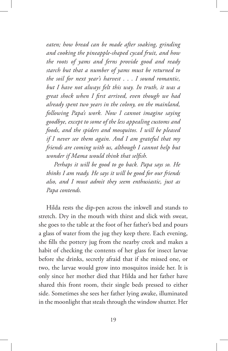*eaten; how bread can be made after soaking, grinding and cooking the pineapple-shaped cycad fruit, and how the roots of yams and ferns provide good and ready starch but that a number of yams must be returned to the soil for next year's harvest* . . . *I sound romantic, but I have not always felt this way. In truth, it was a great shock when I first arrived, even though we had already spent two years in the colony, on the mainland, following Papa's work. Now I cannot imagine saying goodbye, except to some of the less appealing customs and foods, and the spiders and mosquitos. I will be pleased if I never see them again. And I am grateful that my friends are coming with us, although I cannot help but wonder if Mama would think that selfish.*

*Perhaps it will be good to go back. Papa says so. He thinks I am ready. He says it will be good for our friends also, and I must admit they seem enthusiastic, just as Papa contends.*

Hilda rests the dip-pen across the inkwell and stands to stretch. Dry in the mouth with thirst and slick with sweat, she goes to the table at the foot of her father's bed and pours a glass of water from the jug they keep there. Each evening, she fills the pottery jug from the nearby creek and makes a habit of checking the contents of her glass for insect larvae before she drinks, secretly afraid that if she missed one, or two, the larvae would grow into mosquitos inside her. It is only since her mother died that Hilda and her father have shared this front room, their single beds pressed to either side. Sometimes she sees her father lying awake, illuminated in the moonlight that steals through the window shutter. Her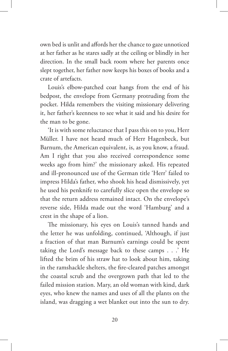own bed is unlit and affords her the chance to gaze unnoticed at her father as he stares sadly at the ceiling or blindly in her direction. In the small back room where her parents once slept together, her father now keeps his boxes of books and a crate of artefacts.

Louis's elbow-patched coat hangs from the end of his bedpost, the envelope from Germany protruding from the pocket. Hilda remembers the visiting missionary delivering it, her father's keenness to see what it said and his desire for the man to be gone.

'It is with some reluctance that I pass this on to you, Herr Müller. I have not heard much of Herr Hagenbeck, but Barnum, the American equivalent, is, as you know, a fraud. Am I right that you also received correspondence some weeks ago from him?' the missionary asked. His repeated and ill-pronounced use of the German title 'Herr' failed to impress Hilda's father, who shook his head dismissively, yet he used his penknife to carefully slice open the envelope so that the return address remained intact. On the envelope's reverse side, Hilda made out the word 'Hamburg' and a crest in the shape of a lion.

The missionary, his eyes on Louis's tanned hands and the letter he was unfolding, continued, 'Although, if just a fraction of that man Barnum's earnings could be spent taking the Lord's message back to these camps . . .' He lifted the brim of his straw hat to look about him, taking in the ramshackle shelters, the fire-cleared patches amongst the coastal scrub and the overgrown path that led to the failed mission station. Mary, an old woman with kind, dark eyes, who knew the names and uses of all the plants on the island, was dragging a wet blanket out into the sun to dry.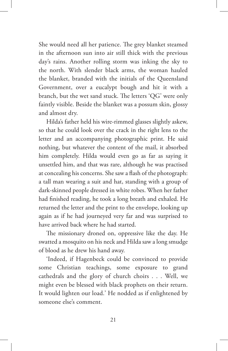She would need all her patience. The grey blanket steamed in the afternoon sun into air still thick with the previous day's rains. Another rolling storm was inking the sky to the north. With slender black arms, the woman hauled the blanket, branded with the initials of the Queensland Government, over a eucalypt bough and hit it with a branch, but the wet sand stuck. The letters 'QG' were only faintly visible. Beside the blanket was a possum skin, glossy and almost dry.

Hilda's father held his wire-rimmed glasses slightly askew, so that he could look over the crack in the right lens to the letter and an accompanying photographic print. He said nothing, but whatever the content of the mail, it absorbed him completely. Hilda would even go as far as saying it unsettled him, and that was rare, although he was practised at concealing his concerns. She saw a flash of the photograph: a tall man wearing a suit and hat, standing with a group of dark-skinned people dressed in white robes. When her father had finished reading, he took a long breath and exhaled. He returned the letter and the print to the envelope, looking up again as if he had journeyed very far and was surprised to have arrived back where he had started.

The missionary droned on, oppressive like the day. He swatted a mosquito on his neck and Hilda saw a long smudge of blood as he drew his hand away.

'Indeed, if Hagenbeck could be convinced to provide some Christian teachings, some exposure to grand cathedrals and the glory of church choirs . . . Well, we might even be blessed with black prophets on their return. It would lighten our load.' He nodded as if enlightened by someone else's comment.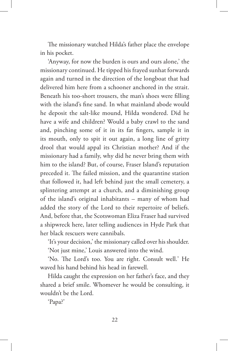The missionary watched Hilda's father place the envelope in his pocket.

'Anyway, for now the burden is ours and ours alone,' the missionary continued. He tipped his frayed sunhat forwards again and turned in the direction of the longboat that had delivered him here from a schooner anchored in the strait. Beneath his too-short trousers, the man's shoes were filling with the island's fine sand. In what mainland abode would he deposit the salt-like mound, Hilda wondered. Did he have a wife and children? Would a baby crawl to the sand and, pinching some of it in its fat fingers, sample it in its mouth, only to spit it out again, a long line of gritty drool that would appal its Christian mother? And if the missionary had a family, why did he never bring them with him to the island? But, of course, Fraser Island's reputation preceded it. The failed mission, and the quarantine station that followed it, had left behind just the small cemetery, a splintering attempt at a church, and a diminishing group of the island's original inhabitants – many of whom had added the story of the Lord to their repertoire of beliefs. And, before that, the Scotswoman Eliza Fraser had survived a shipwreck here, later telling audiences in Hyde Park that her black rescuers were cannibals.

'It's your decision,' the missionary called over his shoulder. 'Not just mine,' Louis answered into the wind.

'No. The Lord's too. You are right. Consult well.' He waved his hand behind his head in farewell.

Hilda caught the expression on her father's face, and they shared a brief smile. Whomever he would be consulting, it wouldn't be the Lord.

'Papa?'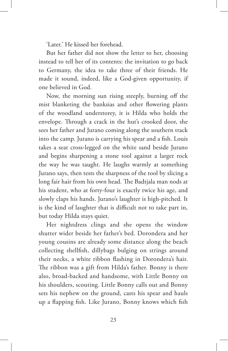'Later.' He kissed her forehead.

But her father did not show the letter to her, choosing instead to tell her of its contents: the invitation to go back to Germany, the idea to take three of their friends. He made it sound, indeed, like a God-given opportunity, if one believed in God.

Now, the morning sun rising steeply, burning off the mist blanketing the banksias and other flowering plants of the woodland understorey, it is Hilda who holds the envelope. Through a crack in the hut's crooked door, she sees her father and Jurano coming along the southern track into the camp. Jurano is carrying his spear and a fish. Louis takes a seat cross-legged on the white sand beside Jurano and begins sharpening a stone tool against a larger rock the way he was taught. He laughs warmly at something Jurano says, then tests the sharpness of the tool by slicing a long fair hair from his own head. The Badtjala man nods at his student, who at forty-four is exactly twice his age, and slowly claps his hands. Jurano's laughter is high-pitched. It is the kind of laughter that is difficult not to take part in, but today Hilda stays quiet.

Her nightdress clings and she opens the window shutter wider beside her father's bed. Dorondera and her young cousins are already some distance along the beach collecting shellfish, dillybags bulging on strings around their necks, a white ribbon flashing in Dorondera's hair. The ribbon was a gift from Hilda's father. Bonny is there also, broad-backed and handsome, with Little Bonny on his shoulders, scouting. Little Bonny calls out and Bonny sets his nephew on the ground, casts his spear and hauls up a flapping fish. Like Jurano, Bonny knows which fish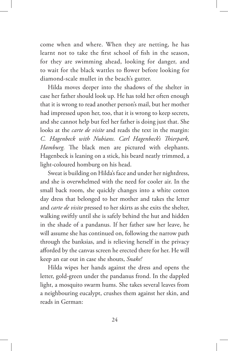come when and where. When they are netting, he has learnt not to take the first school of fish in the season, for they are swimming ahead, looking for danger, and to wait for the black wattles to flower before looking for diamond-scale mullet in the beach's gutter.

Hilda moves deeper into the shadows of the shelter in case her father should look up. He has told her often enough that it is wrong to read another person's mail, but her mother had impressed upon her, too, that it is wrong to keep secrets, and she cannot help but feel her father is doing just that. She looks at the *carte de visite* and reads the text in the margin: *C. Hagenbeck with Nubians. Carl Hagenbeck's Thierpark, Hamburg.* The black men are pictured with elephants. Hagenbeck is leaning on a stick, his beard neatly trimmed, a light-coloured homburg on his head.

Sweat is building on Hilda's face and under her nightdress, and she is overwhelmed with the need for cooler air. In the small back room, she quickly changes into a white cotton day dress that belonged to her mother and takes the letter and *carte de visite* pressed to her skirts as she exits the shelter, walking swiftly until she is safely behind the hut and hidden in the shade of a pandanus. If her father saw her leave, he will assume she has continued on, following the narrow path through the banksias, and is relieving herself in the privacy afforded by the canvas screen he erected there for her. He will keep an ear out in case she shouts, *Snake!*

Hilda wipes her hands against the dress and opens the letter, gold-green under the pandanus frond. In the dappled light, a mosquito swarm hums. She takes several leaves from a neighbouring eucalypt, crushes them against her skin, and reads in German: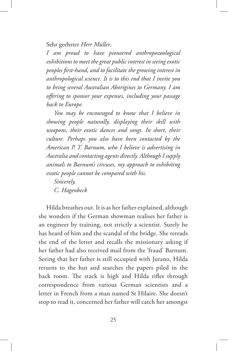Sehr geehrter *Herr Müller*,

*I am proud to have pioneered anthropozoological exhibitions to meet the great public interest in seeing exotic peoples first-hand, and to facilitate the growing interest in anthropological science. It is to this end that I invite you to bring several Australian Aborigines to Germany. I am offering to sponsor your expenses, including your passage back to Europe.*

*You may be encouraged to know that I believe in showing people naturally, displaying their skill with weapons, their exotic dances and songs. In short, their culture. Perhaps you also have been contacted by the American P. T. Barnum, who I believe is advertising in Australia and contacting agents directly. Although I supply animals to Barnum's circuses, my approach to exhibiting exotic people cannot be compared with his.*

*Sincerely, C. Hagenbeck*

Hilda breathes out. It is as her father explained, although she wonders if the German showman realises her father is an engineer by training, not strictly a scientist. Surely he has heard of him and the scandal of the bridge. She rereads the end of the letter and recalls the missionary asking if her father had also received mail from the 'fraud' Barnum. Seeing that her father is still occupied with Jurano, Hilda returns to the hut and searches the papers piled in the back room. The stack is high and Hilda rifles through correspondence from various German scientists and a letter in French from a man named St Hilaire. She doesn't stop to read it, concerned her father will catch her amongst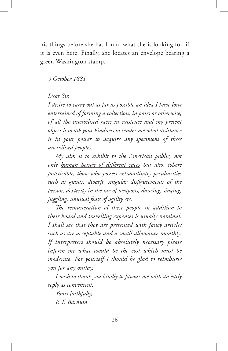his things before she has found what she is looking for, if it is even here. Finally, she locates an envelope bearing a green Washington stamp.

#### *9 October 1881*

### *Dear Sir,*

*I desire to carry out as far as possible an idea I have long entertained of forming a collection, in pairs or otherwise, of all the uncivilised races in existence and my present object is to ask your kindness to render me what assistance is in your power to acquire any specimens of these uncivilised peoples.*

*My aim is to exhibit to the American public, not only human beings of different races but also, where practicable, those who possess extraordinary peculiarities such as giants, dwarfs, singular disfigurements of the person, dexterity in the use of weapons, dancing, singing, juggling, unusual feats of agility etc.*

*The remuneration of these people in addition to their board and travelling expenses is usually nominal. I shall see that they are presented with fancy articles such as are acceptable and a small allowance monthly. If interpreters should be absolutely necessary please inform me what would be the cost which must be moderate. For yourself I should be glad to reimburse you for any outlay.*

*I wish to thank you kindly to favour me with an early reply as convenient.*

*Yours faithfully, P. T. Barnum*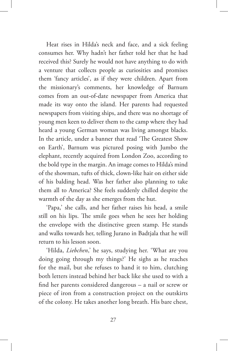Heat rises in Hilda's neck and face, and a sick feeling consumes her. Why hadn't her father told her that he had received this? Surely he would not have anything to do with a venture that collects people as curiosities and promises them 'fancy articles', as if they were children. Apart from the missionary's comments, her knowledge of Barnum comes from an out-of-date newspaper from America that made its way onto the island. Her parents had requested newspapers from visiting ships, and there was no shortage of young men keen to deliver them to the camp where they had heard a young German woman was living amongst blacks. In the article, under a banner that read 'The Greatest Show on Earth', Barnum was pictured posing with Jumbo the elephant, recently acquired from London Zoo, according to the bold type in the margin. An image comes to Hilda's mind of the showman, tufts of thick, clown-like hair on either side of his balding head. Was her father also planning to take them all to America? She feels suddenly chilled despite the warmth of the day as she emerges from the hut.

'Papa,' she calls, and her father raises his head, a smile still on his lips. The smile goes when he sees her holding the envelope with the distinctive green stamp. He stands and walks towards her, telling Jurano in Badtjala that he will return to his lesson soon.

'Hilda, *Liebchen*,' he says, studying her. 'What are you doing going through my things?' He sighs as he reaches for the mail, but she refuses to hand it to him, clutching both letters instead behind her back like she used to with a find her parents considered dangerous – a nail or screw or piece of iron from a construction project on the outskirts of the colony. He takes another long breath. His bare chest,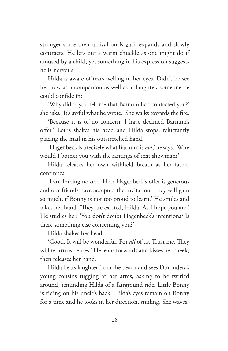stronger since their arrival on K'gari, expands and slowly contracts. He lets out a warm chuckle as one might do if amused by a child, yet something in his expression suggests he is nervous.

Hilda is aware of tears welling in her eyes. Didn't he see her now as a companion as well as a daughter, someone he could confide in?

'Why didn't you tell me that Barnum had contacted you?' she asks. 'It's awful what he wrote.' She walks towards the fire.

'Because it is of no concern. I have declined Barnum's offer.' Louis shakes his head and Hilda stops, reluctantly placing the mail in his outstretched hand.

'Hagenbeck is precisely what Barnum is *not*,' he says. 'Why would I bother you with the rantings of that showman?'

Hilda releases her own withheld breath as her father continues.

'I am forcing no one. Herr Hagenbeck's offer is generous and our friends have accepted the invitation. They will gain so much, if Bonny is not too proud to learn.' He smiles and takes her hand. 'They are excited, Hilda. As I hope you are.' He studies her. 'You don't doubt Hagenbeck's intentions? Is there something else concerning you?'

Hilda shakes her head.

'Good. It will be wonderful. For *all* of us. Trust me. They will return as heroes.' He leans forwards and kisses her cheek, then releases her hand.

Hilda hears laughter from the beach and sees Dorondera's young cousins tugging at her arms, asking to be twirled around, reminding Hilda of a fairground ride. Little Bonny is riding on his uncle's back. Hilda's eyes remain on Bonny for a time and he looks in her direction, smiling. She waves.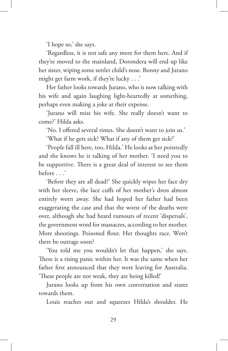'I hope so,' she says.

'Regardless, it is not safe any more for them here. And if they're moved to the mainland, Dorondera will end up like her sister, wiping some settler child's nose. Bonny and Jurano might get farm work, if they're lucky . . .'

Her father looks towards Jurano, who is now talking with his wife and again laughing light-heartedly at something, perhaps even making a joke at their expense.

'Jurano will miss his wife. She really doesn't want to come?' Hilda asks.

'No. I offered several times. She doesn't want to join us.'

'What if he gets sick? What if any of them get sick?'

'People fall ill here, too, Hilda.' He looks at her pointedly and she knows he is talking of her mother. 'I need you to be supportive. There is a great deal of interest to see them before . . .'

'Before they are all dead?' She quickly wipes her face dry with her sleeve, the lace cuffs of her mother's dress almost entirely worn away. She had hoped her father had been exaggerating the case and that the worst of the deaths were over, although she had heard rumours of recent 'dispersals', the government word for massacres, according to her mother. More shootings. Poisoned flour. Her thoughts race. Won't there be outrage soon?

'You told me you wouldn't let that happen,' she says. There is a rising panic within her. It was the same when her father first announced that they were leaving for Australia. 'These people are not weak, they are being killed!'

Jurano looks up from his own conversation and stares towards them.

Louis reaches out and squeezes Hilda's shoulder. He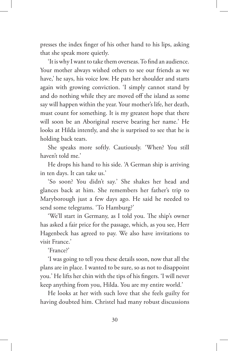presses the index finger of his other hand to his lips, asking that she speak more quietly.

'It is why I want to take them overseas. To find an audience. Your mother always wished others to see our friends as we have,' he says, his voice low. He pats her shoulder and starts again with growing conviction. 'I simply cannot stand by and do nothing while they are moved off the island as some say will happen within the year. Your mother's life, her death, must count for something. It is my greatest hope that there will soon be an Aboriginal reserve bearing her name.' He looks at Hilda intently, and she is surprised to see that he is holding back tears.

She speaks more softly. Cautiously. 'When? You still haven't told me.'

He drops his hand to his side. 'A German ship is arriving in ten days. It can take us.'

'So soon? You didn't say.' She shakes her head and glances back at him. She remembers her father's trip to Maryborough just a few days ago. He said he needed to send some telegrams. 'To Hamburg?'

'We'll start in Germany, as I told you. The ship's owner has asked a fair price for the passage, which, as you see, Herr Hagenbeck has agreed to pay. We also have invitations to visit France.'

'France?'

'I was going to tell you these details soon, now that all the plans are in place. I wanted to be sure, so as not to disappoint you.' He lifts her chin with the tips of his fingers. 'I will never keep anything from you, Hilda. You are my entire world.'

He looks at her with such love that she feels guilty for having doubted him. Christel had many robust discussions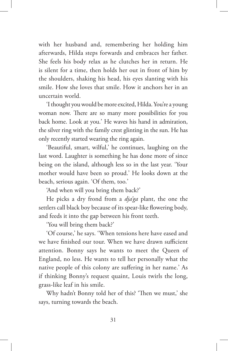with her husband and, remembering her holding him afterwards, Hilda steps forwards and embraces her father. She feels his body relax as he clutches her in return. He is silent for a time, then holds her out in front of him by the shoulders, shaking his head, his eyes slanting with his smile. How she loves that smile. How it anchors her in an uncertain world.

'I thought you would be more excited, Hilda. You're a young woman now. There are so many more possibilities for you back home. Look at you.' He waves his hand in admiration, the silver ring with the family crest glinting in the sun. He has only recently started wearing the ring again.

'Beautiful, smart, wilful,' he continues, laughing on the last word. Laughter is something he has done more of since being on the island, although less so in the last year. 'Your mother would have been so proud.' He looks down at the beach, serious again. 'Of them, too.'

'And when will you bring them back?'

He picks a dry frond from a *dja'ga* plant, the one the settlers call black boy because of its spear-like flowering body, and feeds it into the gap between his front teeth.

'You will bring them back?'

'Of course,' he says. 'When tensions here have eased and we have finished our tour. When we have drawn sufficient attention. Bonny says he wants to meet the Queen of England, no less. He wants to tell her personally what the native people of this colony are suffering in her name.' As if thinking Bonny's request quaint, Louis twirls the long, grass-like leaf in his smile.

Why hadn't Bonny told her of this? 'Then we must,' she says, turning towards the beach.